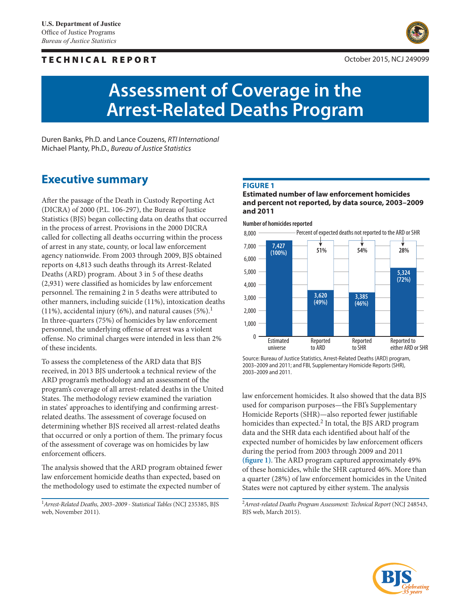### TECHNICAL REPORT



# **Assessment of Coverage in the Arrest-Related Deaths Program**

Duren Banks, Ph.D. and Lance Couzens, *RTI International*  Michael Planty, Ph.D., *Bureau of Justice Statistics*

## **Executive summary**

After the passage of the Death in Custody Reporting Act (DICRA) of 2000 (P.L. 106-297), the Bureau of Justice Statistics (BJS) began collecting data on deaths that occurred in the process of arrest. Provisions in the 2000 DICRA called for collecting all deaths occurring within the process of arrest in any state, county, or local law enforcement agency nationwide. From 2003 through 2009, BJS obtained reports on 4,813 such deaths through its Arrest-Related Deaths (ARD) program. About 3 in 5 of these deaths (2,931) were classified as homicides by law enforcement personnel. The remaining 2 in 5 deaths were attributed to other manners, including suicide (11%), intoxication deaths (11%), accidental injury (6%), and natural causes  $(5\%)$ .<sup>1</sup> In three-quarters (75%) of homicides by law enforcement personnel, the underlying offense of arrest was a violent offense. No criminal charges were intended in less than 2% of these incidents.

To assess the completeness of the ARD data that BJS received, in 2013 BJS undertook a technical review of the ARD program's methodology and an assessment of the program's coverage of all arrest-related deaths in the United States. The methodology review examined the variation in states' approaches to identifying and confirming arrestrelated deaths. The assessment of coverage focused on determining whether BJS received all arrest-related deaths that occurred or only a portion of them. The primary focus of the assessment of coverage was on homicides by law enforcement officers.

The analysis showed that the ARD program obtained fewer law enforcement homicide deaths than expected, based on the methodology used to estimate the expected number of

<sup>1</sup>*Arrest-Related Deaths, 2003–2009 - Statistical Tables* (NCJ 235385, BJS web, November 2011).

#### **Figure 1**

**Estimated number of law enforcement homicides and percent not reported, by data source, 2003–2009 and 2011**

**Number of homicides reported**



Source: Bureau of Justice Statistics, Arrest-Related Deaths (ARD) program, 2003–2009 and 2011; and FBI, Supplementary Homicide Reports (SHR), 2003–2009 and 2011.

law enforcement homicides. It also showed that the data BJS used for comparison purposes—the FBI's Supplementary Homicide Reports (SHR)—also reported fewer justifiable homicides than expected.<sup>2</sup> In total, the BJS ARD program data and the SHR data each identified about half of the expected number of homicides by law enforcement officers during the period from 2003 through 2009 and 2011 **(figure 1)**. The ARD program captured approximately 49% of these homicides, while the SHR captured 46%. More than a quarter (28%) of law enforcement homicides in the United States were not captured by either system. The analysis

<sup>2</sup> Arrest-related Deaths Program Assessment: Technical Report (NCJ 248543, BJS web, March 2015).

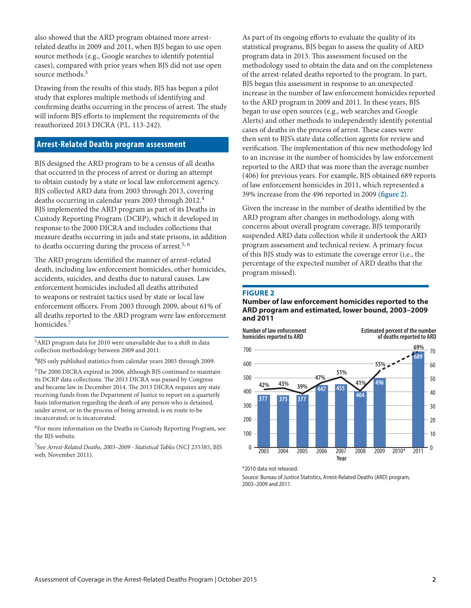also showed that the ARD program obtained more arrestrelated deaths in 2009 and 2011, when BJS began to use open source methods (e.g., Google searches to identify potential cases), compared with prior years when BJS did not use open source methods.<sup>3</sup>

Drawing from the results of this study, BJS has begun a pilot study that explores multiple methods of identifying and confirming deaths occurring in the process of arrest. The study will inform BJS efforts to implement the requirements of the reauthorized 2013 DICRA (P.L. 113-242).

#### **Arrest-Related Deaths program assessment**

BJS designed the ARD program to be a census of all deaths that occurred in the process of arrest or during an attempt to obtain custody by a state or local law enforcement agency. BJS collected ARD data from 2003 through 2013, covering deaths occurring in calendar years 2003 through 2012.4 BJS implemented the ARD program as part of its Deaths in Custody Reporting Program (DCRP), which it developed in response to the 2000 DICRA and includes collections that measure deaths occurring in jails and state prisons, in addition to deaths occurring during the process of arrest.<sup>5, 6</sup>

The ARD program identified the manner of arrest-related death, including law enforcement homicides, other homicides, accidents, suicides, and deaths due to natural causes. Law enforcement homicides included all deaths attributed to weapons or restraint tactics used by state or local law enforcement officers. From 2003 through 2009, about 61% of all deaths reported to the ARD program were law enforcement homicides.<sup>7</sup>

3ARD program data for 2010 were unavailable due to a shift in data collection methodology between 2009 and 2011.

4BJS only published statistics from calendar years 2003 through 2009.

5The 2000 DICRA expired in 2006, although BJS continued to maintain its DCRP data collections. The 2013 DICRA was passed by Congress and became law in December 2014. The 2013 DICRA requires any state receiving funds from the Department of Justice to report on a quarterly basis information regarding the death of any person who is detained, under arrest, or in the process of being arrested; is en route to be incarcerated; or is incarcerated.

<sup>6</sup>For more information on the Deaths in Custody Reporting Program, see the BJS website.

7See *Arrest-Related Deaths, 2003–2009 - Statistical Tables* (NCJ 235385, BJS web, November 2011).

As part of its ongoing efforts to evaluate the quality of its statistical programs, BJS began to assess the quality of ARD program data in 2013. This assessment focused on the methodology used to obtain the data and on the completeness of the arrest-related deaths reported to the program. In part, BJS began this assessment in response to an unexpected increase in the number of law enforcement homicides reported to the ARD program in 2009 and 2011. In these years, BJS began to use open sources (e.g., web searches and Google Alerts) and other methods to independently identify potential cases of deaths in the process of arrest. These cases were then sent to BJS's state data collection agents for review and verification. The implementation of this new methodology led to an increase in the number of homicides by law enforcement reported to the ARD that was more than the average number (406) for previous years. For example, BJS obtained 689 reports of law enforcement homicides in 2011, which represented a 39% increase from the 496 reported in 2009 **(figure 2)**.

Given the increase in the number of deaths identified by the ARD program after changes in methodology, along with concerns about overall program coverage, BJS temporarily suspended ARD data collection while it undertook the ARD program assessment and technical review. A primary focus of this BJS study was to estimate the coverage error (i.e., the percentage of the expected number of ARD deaths that the program missed).

#### **Figure 2**

#### **Number of law enforcement homicides reported to the ARD program and estimated, lower bound, 2003–2009 and 2011**



\*2010 data not released.

Source: Bureau of Justice Statistics, Arrest-Related Deaths (ARD) program, 2003–2009 and 2011.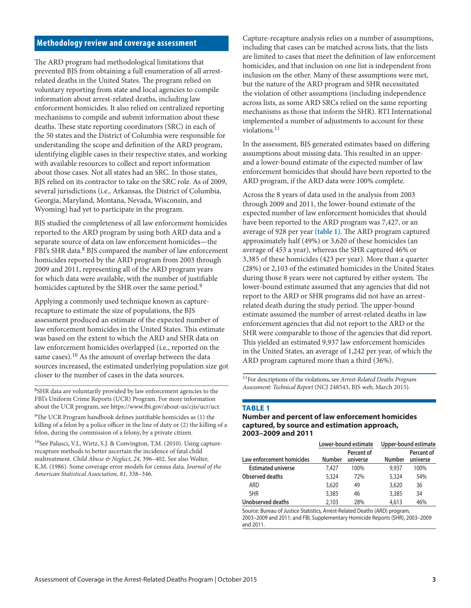#### **Methodology review and coverage assessment**

The ARD program had methodological limitations that prevented BJS from obtaining a full enumeration of all arrestrelated deaths in the United States. The program relied on voluntary reporting from state and local agencies to compile information about arrest-related deaths, including law enforcement homicides. It also relied on centralized reporting mechanisms to compile and submit information about these deaths. These state reporting coordinators (SRC) in each of the 50 states and the District of Columbia were responsible for understanding the scope and definition of the ARD program, identifying eligible cases in their respective states, and working with available resources to collect and report information about those cases. Not all states had an SRC. In those states, BJS relied on its contractor to take on the SRC role. As of 2009, several jurisdictions (i.e., Arkansas, the District of Columbia, Georgia, Maryland, Montana, Nevada, Wisconsin, and Wyoming) had yet to participate in the program.

BJS studied the completeness of all law enforcement homicides reported to the ARD program by using both ARD data and a separate source of data on law enforcement homicides—the FBI's SHR data.<sup>8</sup> BJS compared the number of law enforcement homicides reported by the ARD program from 2003 through 2009 and 2011, representing all of the ARD program years for which data were available, with the number of justifiable homicides captured by the SHR over the same period.<sup>9</sup>

Applying a commonly used technique known as capturerecapture to estimate the size of populations, the BJS assessment produced an estimate of the expected number of law enforcement homicides in the United States. This estimate was based on the extent to which the ARD and SHR data on law enforcement homicides overlapped (i.e., reported on the same cases).<sup>10</sup> As the amount of overlap between the data sources increased, the estimated underlying population size got closer to the number of cases in the data sources.

8SHR data are voluntarily provided by law enforcement agencies to the FBI's Uniform Crime Reports (UCR) Program. For more information about the UCR program, see https://www.fbi.gov/about-us/cjis/ucr/ucr.

 $9$ The UCR Program handbook defines justifiable homicides as (1) the killing of a felon by a police officer in the line of duty or (2) the killing of a felon, during the commission of a felony, by a private citizen.

<sup>10</sup>See Palusci, V.J., Wirtz, S.J. & Convington, T.M. (2010). Using capturerecapture methods to better ascertain the incidence of fatal child maltreatment. *Child Abuse & Neglect, 24*, 396–402. See also Wolter, K.M. (1986). Some coverage error models for census data. *Journal of the American Statistical Association, 81*, 338–346.

Capture-recapture analysis relies on a number of assumptions, including that cases can be matched across lists, that the lists are limited to cases that meet the definition of law enforcement homicides, and that inclusion on one list is independent from inclusion on the other. Many of these assumptions were met, but the nature of the ARD program and SHR necessitated the violation of other assumptions (including independence across lists, as some ARD SRCs relied on the same reporting mechanisms as those that inform the SHR). RTI International implemented a number of adjustments to account for these violations.<sup>11</sup>

In the assessment, BJS generated estimates based on differing assumptions about missing data. This resulted in an upperand a lower-bound estimate of the expected number of law enforcement homicides that should have been reported to the ARD program, if the ARD data were 100% complete.

Across the 8 years of data used in the analysis from 2003 through 2009 and 2011, the lower-bound estimate of the expected number of law enforcement homicides that should have been reported to the ARD program was 7,427, or an average of 928 per year **(table 1)**. The ARD program captured approximately half (49%) or 3,620 of these homicides (an average of 453 a year), whereas the SHR captured 46% or 3,385 of these homicides (423 per year). More than a quarter (28%) or 2,103 of the estimated homicides in the United States during those 8 years were not captured by either system. The lower-bound estimate assumed that any agencies that did not report to the ARD or SHR programs did not have an arrestrelated death during the study period. The upper-bound estimate assumed the number of arrest-related deaths in law enforcement agencies that did not report to the ARD or the SHR were comparable to those of the agencies that did report. This yielded an estimated 9,937 law enforcement homicides in the United States, an average of 1,242 per year, of which the ARD program captured more than a third (36%).

11For descriptions of the violations, see *Arrest-Related Deaths Program Assessment: Technical Report* (NCJ 248543, BJS web, March 2015).

#### **Table 1**

#### **Number and percent of law enforcement homicides captured, by source and estimation approach, 2003–2009 and 2011**

|                           | Lower-bound estimate |                        | Upper-bound estimate |                        |
|---------------------------|----------------------|------------------------|----------------------|------------------------|
| Law enforcement homicides | <b>Number</b>        | Percent of<br>universe | Number               | Percent of<br>universe |
| <b>Estimated universe</b> | 7.427                | 100%                   | 9.937                | 100%                   |
| Observed deaths           | 5,324                | 72%                    | 5,324                | 54%                    |
| ARD                       | 3,620                | 49                     | 3,620                | 36                     |
| <b>SHR</b>                | 3,385                | 46                     | 3,385                | 34                     |
| Unobserved deaths         | 2.103                | 28%                    | 4,613                | 46%                    |

Source: Bureau of Justice Statistics, Arrest-Related Deaths (ARD) program, 2003–2009 and 2011; and FBI, Supplementary Homicide Reports (SHR), 2003–2009 and 2011.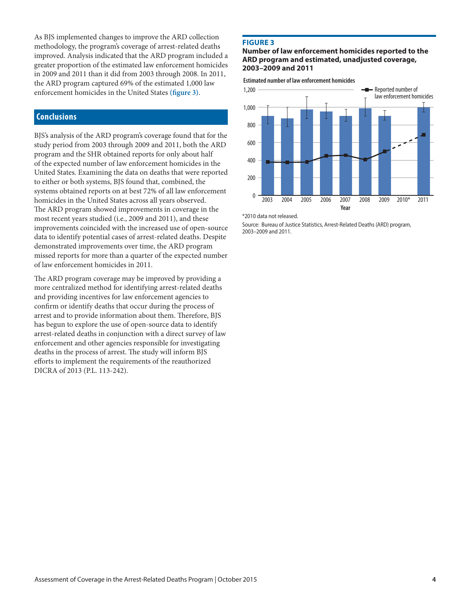As BJS implemented changes to improve the ARD collection methodology, the program's coverage of arrest-related deaths improved. Analysis indicated that the ARD program included a greater proportion of the estimated law enforcement homicides in 2009 and 2011 than it did from 2003 through 2008. In 2011, the ARD program captured 69% of the estimated 1,000 law enforcement homicides in the United States **(figure 3)**.

#### **Conclusions**

BJS's analysis of the ARD program's coverage found that for the study period from 2003 through 2009 and 2011, both the ARD program and the SHR obtained reports for only about half of the expected number of law enforcement homicides in the United States. Examining the data on deaths that were reported to either or both systems, BJS found that, combined, the systems obtained reports on at best 72% of all law enforcement homicides in the United States across all years observed. The ARD program showed improvements in coverage in the most recent years studied (i.e., 2009 and 2011), and these improvements coincided with the increased use of open-source data to identify potential cases of arrest-related deaths. Despite demonstrated improvements over time, the ARD program missed reports for more than a quarter of the expected number of law enforcement homicides in 2011.

The ARD program coverage may be improved by providing a more centralized method for identifying arrest-related deaths and providing incentives for law enforcement agencies to confirm or identify deaths that occur during the process of arrest and to provide information about them. Therefore, BJS has begun to explore the use of open-source data to identify arrest-related deaths in conjunction with a direct survey of law enforcement and other agencies responsible for investigating deaths in the process of arrest. The study will inform BJS efforts to implement the requirements of the reauthorized DICRA of 2013 (P.L. 113-242).

#### **Figure 3**

#### **Number of law enforcement homicides reported to the ARD program and estimated, unadjusted coverage, 2003–2009 and 2011**

**Estimated number of law enforcement homicides**



<sup>\*2010</sup> data not released.

Source: Bureau of Justice Statistics, Arrest-Related Deaths (ARD) program, 2003–2009 and 2011.